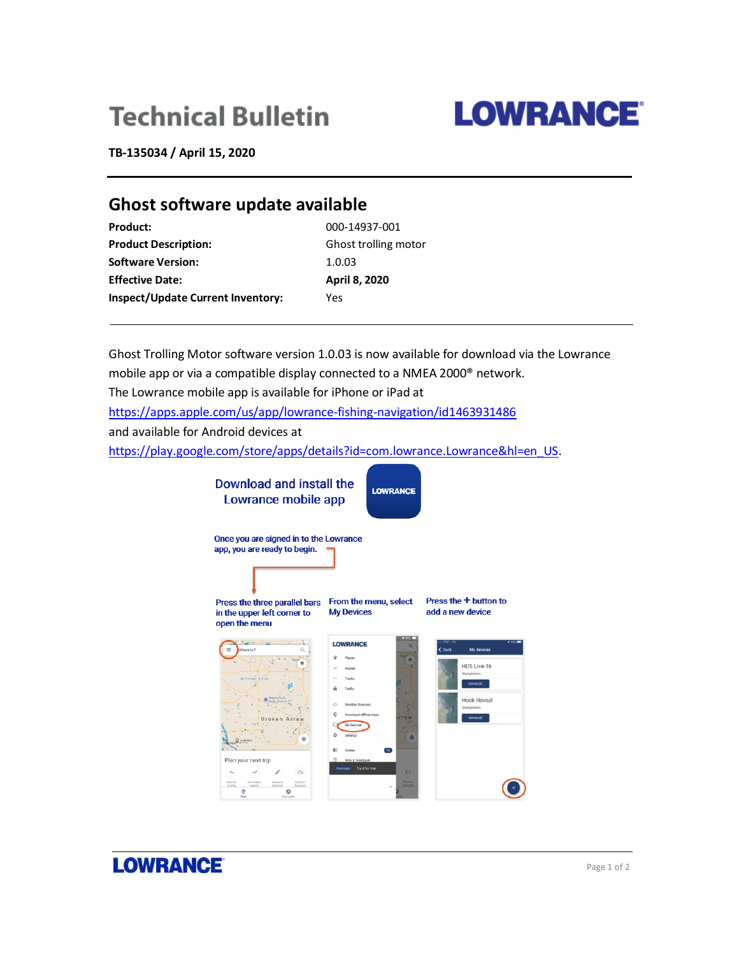# **Technical Bulletin**



**TB-135034 / April 15, 2020**

# **Ghost software update available**

| <b>Product:</b>                          | 000-14937-001        |
|------------------------------------------|----------------------|
| <b>Product Description:</b>              | Ghost trolling motor |
| <b>Software Version:</b>                 | 1.0.03               |
| <b>Effective Date:</b>                   | April 8, 2020        |
| <b>Inspect/Update Current Inventory:</b> | Yes                  |

Ghost Trolling Motor software version 1.0.03 is now available for download via the Lowrance mobile app or via a compatible display connected to a NMEA 2000® network. The Lowrance mobile app is available for iPhone or iPad at <https://apps.apple.com/us/app/lowrance-fishing-navigation/id1463931486> and available for Android devices at [https://play.google.com/store/apps/details?id=com.lowrance.Lowrance&hl=en\\_US.](https://play.google.com/store/apps/details?id=com.lowrance.Lowrance&hl=en_US)



**LOWRANCE**